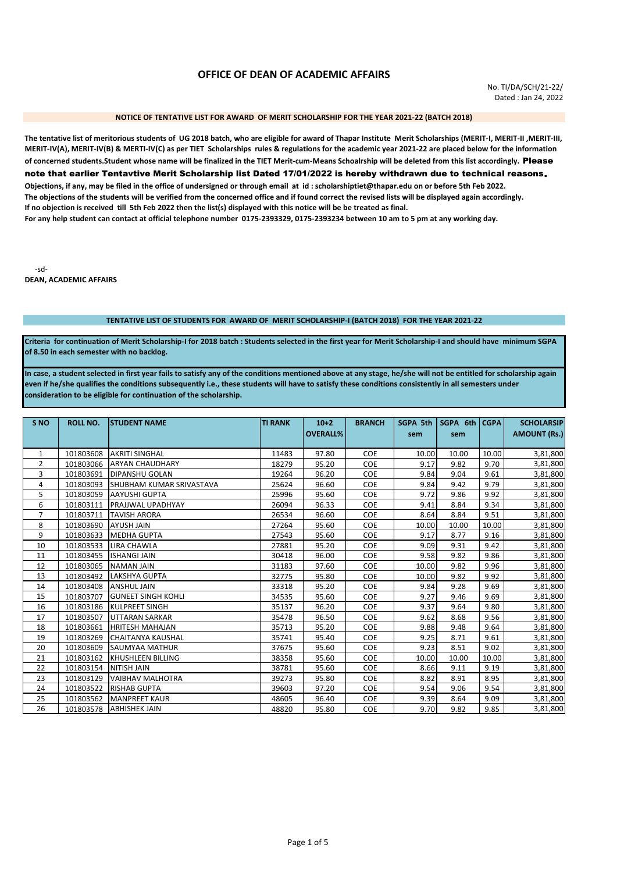# **OFFICE OF DEAN OF ACADEMIC AFFAIRS**

### NOTICE OF TENTATIVE LIST FOR AWARD OF MERIT SCHOLARSHIP FOR THE YEAR 2021-22 (BATCH 2018)

The tentative list of meritorious students of UG 2018 batch, who are eligible for award of Thapar Institute Merit Scholarships (MERIT-I, MERIT-II, MERIT-III, MERIT-IV(A), MERIT-IV(B) & MERTI-IV(C) as per TIET Scholarships rules & regulations for the academic year 2021-22 are placed below for the information of concerned students. Student whose name will be finalized in the TIET Merit-cum-Means Schoalrship will be deleted from this list accordingly. Please note that earlier Tentavtive Merit Scholarship list Dated 17/01/2022 is hereby withdrawn due to technical reasons. Objections, if any, may be filed in the office of undersigned or through email at id: scholarshiptiet@thapar.edu on or before 5th Feb 2022. The objections of the students will be verified from the concerned office and if found correct the revised lists will be displayed again accordingly. If no objection is received till 5th Feb 2022 then the list(s) displayed with this notice will be be treated as final. For any help student can contact at official telephone number 0175-2393329, 0175-2393234 between 10 am to 5 pm at any working day.

 $-6d-$ **DEAN, ACADEMIC AFFAIRS** 

## TENTATIVE LIST OF STUDENTS FOR AWARD OF MERIT SCHOLARSHIP-I (BATCH 2018) FOR THE YEAR 2021-22

Criteria for continuation of Merit Scholarship-I for 2018 batch : Students selected in the first year for Merit Scholarship-I and should have minimum SGPA of 8.50 in each semester with no backlog.

In case, a student selected in first year fails to satisfy any of the conditions mentioned above at any stage, he/she will not be entitled for scholarship again even if he/she qualifies the conditions subsequently i.e., these students will have to satisfy these conditions consistently in all semesters under consideration to be eligible for continuation of the scholarship.

| S <sub>NO</sub> | <b>ROLL NO.</b> | <b>STUDENT NAME</b>       | <b>TI RANK</b> | $10+2$          | <b>BRANCH</b> | <b>SGPA 5th</b> | SGPA 6th CGPA |       | <b>SCHOLARSIP</b>   |
|-----------------|-----------------|---------------------------|----------------|-----------------|---------------|-----------------|---------------|-------|---------------------|
|                 |                 |                           |                | <b>OVERALL%</b> |               | sem             | sem           |       | <b>AMOUNT (Rs.)</b> |
| 1               | 101803608       | <b>AKRITI SINGHAL</b>     | 11483          | 97.80           | <b>COE</b>    | 10.00           | 10.00         | 10.00 | 3,81,800            |
| $\overline{2}$  | 101803066       | <b>ARYAN CHAUDHARY</b>    | 18279          | 95.20           | <b>COE</b>    | 9.17            | 9.82          | 9.70  | 3,81,800            |
| 3               | 101803691       | <b>DIPANSHU GOLAN</b>     | 19264          | 96.20           | <b>COE</b>    | 9.84            | 9.04          | 9.61  | 3,81,800            |
| 4               | 101803093       | SHUBHAM KUMAR SRIVASTAVA  | 25624          | 96.60           | <b>COE</b>    | 9.84            | 9.42          | 9.79  | 3,81,800            |
| 5               | 101803059       | <b>AAYUSHI GUPTA</b>      | 25996          | 95.60           | <b>COE</b>    | 9.72            | 9.86          | 9.92  | 3,81,800            |
| 6               | 101803111       | PRAJJWAL UPADHYAY         | 26094          | 96.33           | <b>COE</b>    | 9.41            | 8.84          | 9.34  | 3,81,800            |
| 7               | 101803711       | <b>TAVISH ARORA</b>       | 26534          | 96.60           | <b>COE</b>    | 8.64            | 8.84          | 9.51  | 3,81,800            |
| 8               | 101803690       | <b>AYUSH JAIN</b>         | 27264          | 95.60           | COE           | 10.00           | 10.00         | 10.00 | 3,81,800            |
| 9               | 101803633       | <b>MEDHA GUPTA</b>        | 27543          | 95.60           | <b>COE</b>    | 9.17            | 8.77          | 9.16  | 3,81,800            |
| 10              | 101803533       | LIRA CHAWLA               | 27881          | 95.20           | <b>COE</b>    | 9.09            | 9.31          | 9.42  | 3,81,800            |
| 11              | 101803455       | <b>ISHANGI JAIN</b>       | 30418          | 96.00           | <b>COE</b>    | 9.58            | 9.82          | 9.86  | 3,81,800            |
| 12              | 101803065       | <b>NAMAN JAIN</b>         | 31183          | 97.60           | <b>COE</b>    | 10.00           | 9.82          | 9.96  | 3,81,800            |
| 13              | 101803492       | <b>LAKSHYA GUPTA</b>      | 32775          | 95.80           | <b>COE</b>    | 10.00           | 9.82          | 9.92  | 3,81,800            |
| 14              | 101803408       | <b>ANSHUL JAIN</b>        | 33318          | 95.20           | <b>COE</b>    | 9.84            | 9.28          | 9.69  | 3,81,800            |
| 15              | 101803707       | <b>GUNEET SINGH KOHLI</b> | 34535          | 95.60           | <b>COE</b>    | 9.27            | 9.46          | 9.69  | 3,81,800            |
| 16              | 101803186       | <b>KULPREET SINGH</b>     | 35137          | 96.20           | <b>COE</b>    | 9.37            | 9.64          | 9.80  | 3,81,800            |
| 17              | 101803507       | <b>UTTARAN SARKAR</b>     | 35478          | 96.50           | <b>COE</b>    | 9.62            | 8.68          | 9.56  | 3,81,800            |
| 18              | 101803661       | <b>HRITESH MAHAJAN</b>    | 35713          | 95.20           | <b>COE</b>    | 9.88            | 9.48          | 9.64  | 3,81,800            |
| 19              | 101803269       | CHAITANYA KAUSHAL         | 35741          | 95.40           | <b>COE</b>    | 9.25            | 8.71          | 9.61  | 3,81,800            |
| 20              | 101803609       | <b>SAUMYAA MATHUR</b>     | 37675          | 95.60           | <b>COE</b>    | 9.23            | 8.51          | 9.02  | 3,81,800            |
| 21              | 101803162       | <b>KHUSHLEEN BILLING</b>  | 38358          | 95.60           | <b>COE</b>    | 10.00           | 10.00         | 10.00 | 3,81,800            |
| 22              | 101803154       | <b>NITISH JAIN</b>        | 38781          | 95.60           | <b>COE</b>    | 8.66            | 9.11          | 9.19  | 3,81,800            |
| 23              | 101803129       | <b>VAIBHAV MALHOTRA</b>   | 39273          | 95.80           | <b>COE</b>    | 8.82            | 8.91          | 8.95  | 3,81,800            |
| 24              | 101803522       | <b>RISHAB GUPTA</b>       | 39603          | 97.20           | <b>COE</b>    | 9.54            | 9.06          | 9.54  | 3,81,800            |
| 25              | 101803562       | <b>MANPREET KAUR</b>      | 48605          | 96.40           | <b>COE</b>    | 9.39            | 8.64          | 9.09  | 3,81,800            |
| 26              | 101803578       | <b>ABHISHEK JAIN</b>      | 48820          | 95.80           | <b>COE</b>    | 9.70            | 9.82          | 9.85  | 3,81,800            |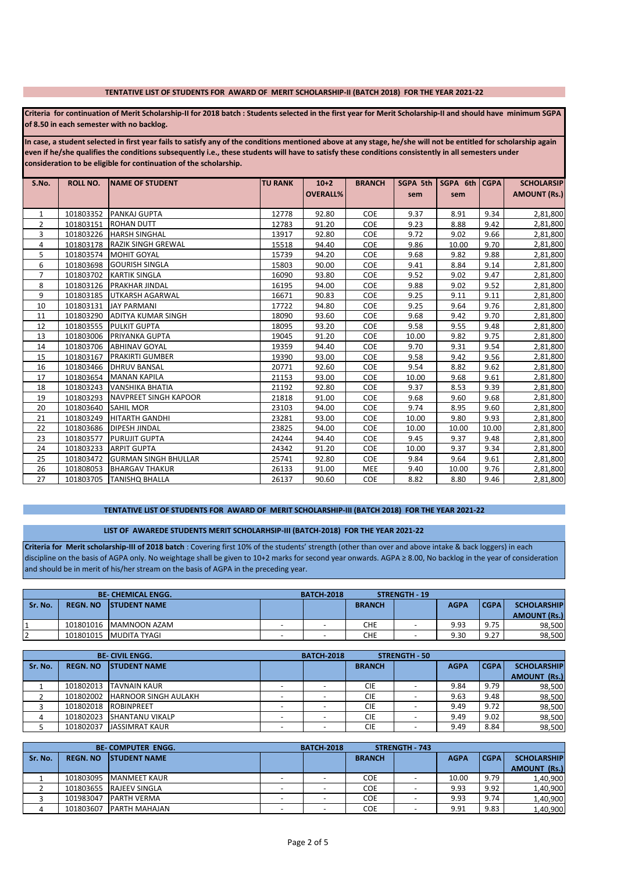#### TENTATIVE LIST OF STUDENTS FOR AWARD OF MERIT SCHOLARSHIP-II (BATCH 2018) FOR THE YEAR 2021-22

Criteria for continuation of Merit Scholarship-II for 2018 batch : Students selected in the first year for Merit Scholarship-II and should have minimum SGPA of 8.50 in each semester with no backlog.

In case, a student selected in first year fails to satisfy any of the conditions mentioned above at any stage, he/she will not be entitled for scholarship again even if he/she qualifies the conditions subsequently i.e., these students will have to satisfy these conditions consistently in all semesters under consideration to be eligible for continuation of the scholarship.

| S.No. | <b>ROLL NO.</b> | <b>INAME OF STUDENT</b>      | <b>TU RANK</b> | $10+2$          | <b>BRANCH</b> | <b>SGPA 5th</b> | SGPA 6th CGPA |       | <b>SCHOLARSIP</b>   |
|-------|-----------------|------------------------------|----------------|-----------------|---------------|-----------------|---------------|-------|---------------------|
|       |                 |                              |                | <b>OVERALL%</b> |               | sem             | sem           |       | <b>AMOUNT (Rs.)</b> |
|       |                 |                              |                |                 |               |                 |               |       |                     |
| 1     | 101803352       | <b>PANKAJ GUPTA</b>          | 12778          | 92.80           | <b>COE</b>    | 9.37            | 8.91          | 9.34  | 2,81,800            |
| 2     | 101803151       | <b>ROHAN DUTT</b>            | 12783          | 91.20           | COE           | 9.23            | 8.88          | 9.42  | 2,81,800            |
| 3     | 101803226       | <b>HARSH SINGHAL</b>         | 13917          | 92.80           | <b>COE</b>    | 9.72            | 9.02          | 9.66  | 2,81,800            |
| 4     | 101803178       | <b>RAZIK SINGH GREWAL</b>    | 15518          | 94.40           | <b>COE</b>    | 9.86            | 10.00         | 9.70  | 2,81,800            |
| 5     | 101803574       | <b>MOHIT GOYAL</b>           | 15739          | 94.20           | <b>COE</b>    | 9.68            | 9.82          | 9.88  | 2,81,800            |
| 6     | 101803698       | <b>GOURISH SINGLA</b>        | 15803          | 90.00           | <b>COE</b>    | 9.41            | 8.84          | 9.14  | 2,81,800            |
| 7     | 101803702       | <b>KARTIK SINGLA</b>         | 16090          | 93.80           | <b>COE</b>    | 9.52            | 9.02          | 9.47  | 2,81,800            |
| 8     | 101803126       | <b>PRAKHAR JINDAL</b>        | 16195          | 94.00           | <b>COE</b>    | 9.88            | 9.02          | 9.52  | 2,81,800            |
| 9     | 101803185       | <b>UTKARSH AGARWAL</b>       | 16671          | 90.83           | <b>COE</b>    | 9.25            | 9.11          | 9.11  | 2,81,800            |
| 10    | 101803131       | <b>JAY PARMANI</b>           | 17722          | 94.80           | <b>COE</b>    | 9.25            | 9.64          | 9.76  | 2,81,800            |
| 11    | 101803290       | <b>ADITYA KUMAR SINGH</b>    | 18090          | 93.60           | <b>COE</b>    | 9.68            | 9.42          | 9.70  | 2,81,800            |
| 12    | 101803555       | <b>PULKIT GUPTA</b>          | 18095          | 93.20           | <b>COE</b>    | 9.58            | 9.55          | 9.48  | 2,81,800            |
| 13    | 101803006       | <b>PRIYANKA GUPTA</b>        | 19045          | 91.20           | <b>COE</b>    | 10.00           | 9.82          | 9.75  | 2,81,800            |
| 14    | 101803706       | <b>ABHINAV GOYAL</b>         | 19359          | 94.40           | <b>COE</b>    | 9.70            | 9.31          | 9.54  | 2,81,800            |
| 15    | 101803167       | <b>PRAKIRTI GUMBER</b>       | 19390          | 93.00           | <b>COE</b>    | 9.58            | 9.42          | 9.56  | 2,81,800            |
| 16    | 101803466       | <b>DHRUV BANSAL</b>          | 20771          | 92.60           | <b>COE</b>    | 9.54            | 8.82          | 9.62  | 2,81,800            |
| 17    | 101803654       | <b>MANAN KAPILA</b>          | 21153          | 93.00           | COE           | 10.00           | 9.68          | 9.61  | 2,81,800            |
| 18    | 101803243       | <b>VANSHIKA BHATIA</b>       | 21192          | 92.80           | COE           | 9.37            | 8.53          | 9.39  | 2,81,800            |
| 19    | 101803293       | <b>NAVPREET SINGH KAPOOR</b> | 21818          | 91.00           | <b>COE</b>    | 9.68            | 9.60          | 9.68  | 2,81,800            |
| 20    | 101803640       | <b>SAHIL MOR</b>             | 23103          | 94.00           | <b>COE</b>    | 9.74            | 8.95          | 9.60  | 2,81,800            |
| 21    | 101803249       | <b>HITARTH GANDHI</b>        | 23281          | 93.00           | COE           | 10.00           | 9.80          | 9.93  | 2,81,800            |
| 22    | 101803686       | <b>DIPESH JINDAL</b>         | 23825          | 94.00           | <b>COE</b>    | 10.00           | 10.00         | 10.00 | 2,81,800            |
| 23    | 101803577       | <b>PURUJIT GUPTA</b>         | 24244          | 94.40           | <b>COE</b>    | 9.45            | 9.37          | 9.48  | 2,81,800            |
| 24    | 101803233       | <b>ARPIT GUPTA</b>           | 24342          | 91.20           | <b>COE</b>    | 10.00           | 9.37          | 9.34  | 2,81,800            |
| 25    | 101803472       | <b>GURMAN SINGH BHULLAR</b>  | 25741          | 92.80           | <b>COE</b>    | 9.84            | 9.64          | 9.61  | 2,81,800            |
| 26    | 101808053       | <b>BHARGAV THAKUR</b>        | 26133          | 91.00           | <b>MEE</b>    | 9.40            | 10.00         | 9.76  | 2,81,800            |
| 27    | 101803705       | <b>TANISHQ BHALLA</b>        | 26137          | 90.60           | COE           | 8.82            | 8.80          | 9.46  | 2,81,800            |

## TENTATIVE LIST OF STUDENTS FOR AWARD OF MERIT SCHOLARSHIP-III (BATCH 2018) FOR THE YEAR 2021-22

## LIST OF AWAREDE STUDENTS MERIT SCHOLARHSIP-III (BATCH-2018) FOR THE YEAR 2021-22

Criteria for Merit scholarship-III of 2018 batch : Covering first 10% of the students' strength (other than over and above intake & back loggers) in each discipline on the basis of AGPA only. No weightage shall be given to 10+2 marks for second year onwards. AGPA ≥ 8.00, No backlog in the year of consideration and should be in merit of his/her stream on the basis of AGPA in the preceding year.

|         |                 | <b>BE-CHEMICAL ENGG.</b> | <b>BATCH 2018</b>        |               | STRENGTH - 19            |             |             |                     |
|---------|-----------------|--------------------------|--------------------------|---------------|--------------------------|-------------|-------------|---------------------|
| Sr. No. | <b>REGN. NO</b> | <b>ISTUDENT NAME</b>     |                          | <b>BRANCH</b> |                          | <b>AGPA</b> | <b>CGPA</b> | <b>SCHOLARSHIP</b>  |
|         |                 |                          |                          |               |                          |             |             | <b>AMOUNT (Rs.)</b> |
|         | 101801016       | MAMNOON AZAM             | -                        | CHE           | -                        | 9.93        | 9.75        | 98.500              |
|         | 101801015       | <b>MUDITA TYAGI</b>      | $\overline{\phantom{0}}$ | CHE           | $\overline{\phantom{a}}$ | 9.30        | 9.27        | 98.500              |

|         |                 | <b>BE-CIVIL ENGG.</b>          | <b>BATCH 2018</b> |               | <b>STRENGTH - 50</b> |             |        |                     |
|---------|-----------------|--------------------------------|-------------------|---------------|----------------------|-------------|--------|---------------------|
| Sr. No. | <b>REGN. NO</b> | <b>ISTUDENT NAME</b>           |                   | <b>BRANCH</b> |                      | <b>AGPA</b> | l CGPA | <b>SCHOLARSHIP</b>  |
|         |                 |                                |                   |               |                      |             |        | <b>AMOUNT (Rs.)</b> |
|         | 101802013       | <b>TAVNAIN KAUR</b>            |                   | <b>CIE</b>    |                      | 9.84        | 9.79   | 98,500              |
|         |                 | 101802002 HARNOOR SINGH AULAKH |                   | <b>CIE</b>    |                      | 9.63        | 9.48   | 98,500              |
|         |                 | 101802018 ROBINPREET           |                   | <b>CIE</b>    |                      | 9.49        | 9.72   | 98,500              |
|         | 101802023       | <b>SHANTANU VIKALP</b>         |                   | <b>CIE</b>    |                      | 9.49        | 9.02   | 98,500              |
|         | 101802037       | JASSIMRAT KAUR                 |                   | <b>CIE</b>    |                      | 9.49        | 8.84   | 98,500              |

|         | <b>BE-COMPUTER ENGG.</b> |                         | <b>BATCH 2018</b> |               | <b>STRENGTH - 743</b> |             |             |                     |
|---------|--------------------------|-------------------------|-------------------|---------------|-----------------------|-------------|-------------|---------------------|
| Sr. No. | <b>REGN. NO</b>          | <b>ISTUDENT NAME</b>    |                   | <b>BRANCH</b> |                       | <b>AGPA</b> | <b>CGPA</b> | <b>SCHOLARSHIP</b>  |
|         |                          |                         |                   |               |                       |             |             | <b>AMOUNT (Rs.)</b> |
|         | 101803095                | <b>MANMEET KAUR</b>     |                   | <b>COE</b>    |                       | 10.00       | 9.79        | 1,40,900            |
|         |                          | 101803655 RAJEEV SINGLA |                   | <b>COE</b>    |                       | 9.93        | 9.92        | 1,40,900            |
|         | 101983047                | <b>IPARTH VERMA</b>     |                   | <b>COE</b>    |                       | 9.93        | 9.74        | 1,40,900            |
| 4       | 101803607                | <b>PARTH MAHAJAN</b>    |                   | <b>COE</b>    |                       | 9.91        | 9.83        | 1,40,900            |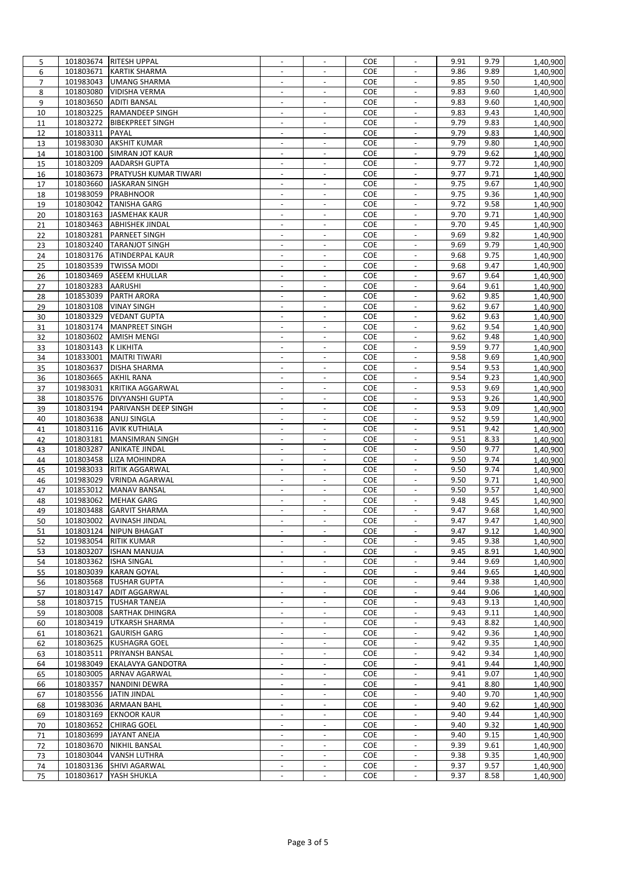| 5              |                     | 101803674 RITESH UPPAL                      | $\overline{\phantom{a}}$ | $\overline{\phantom{a}}$ | COE        | $\overline{\phantom{a}}$                   | 9.91 | 9.79 | 1,40,900             |
|----------------|---------------------|---------------------------------------------|--------------------------|--------------------------|------------|--------------------------------------------|------|------|----------------------|
| 6              |                     | 101803671 KARTIK SHARMA                     | $\blacksquare$           | $\blacksquare$           | COE        | $\mathbb{L}^2$                             | 9.86 | 9.89 | 1,40,900             |
| $\overline{7}$ |                     | 101983043 UMANG SHARMA                      | $\overline{\phantom{a}}$ | $\sim$                   | <b>COE</b> | $\blacksquare$                             | 9.85 | 9.50 | 1,40,900             |
| 8              |                     | 101803080 VIDISHA VERMA                     |                          |                          | COE        |                                            | 9.83 | 9.60 | 1,40,900             |
| 9              |                     | 101803650 ADITI BANSAL                      | $\overline{\phantom{a}}$ | $\blacksquare$           | COE        | $\overline{\phantom{a}}$                   | 9.83 | 9.60 | 1,40,900             |
| 10             |                     | 101803225 RAMANDEEP SINGH                   | $\blacksquare$           | $\sim$                   | COE        | $\overline{\phantom{a}}$                   | 9.83 | 9.43 | 1,40,900             |
| 11             |                     | 101803272 BIBEKPREET SINGH                  |                          |                          | COE        | $\overline{\phantom{a}}$                   | 9.79 | 9.83 | 1,40,900             |
| 12             | 101803311 PAYAL     |                                             | $\overline{\phantom{a}}$ | $\overline{\phantom{a}}$ | COE        | $\blacksquare$                             | 9.79 | 9.83 | 1,40,900             |
| 13             |                     | 101983030 AKSHIT KUMAR                      | $\blacksquare$           | $\sim$                   | COE        | $\blacksquare$                             | 9.79 | 9.80 | 1,40,900             |
| 14             |                     | 101803100 SIMRAN JOT KAUR                   | $\blacksquare$           | $\overline{a}$           | COE        | $\blacksquare$                             | 9.79 | 9.62 | 1,40,900             |
| 15             | 101803209           | <b>AADARSH GUPTA</b>                        | $\overline{\phantom{a}}$ | $\overline{\phantom{a}}$ | <b>COE</b> | $\overline{\phantom{a}}$                   | 9.77 | 9.72 | 1,40,900             |
| 16             | 101803673           | <b>PRATYUSH KUMAR TIWARI</b>                | $\overline{\phantom{a}}$ | $\overline{\phantom{a}}$ | COE        | $\overline{\phantom{a}}$                   | 9.77 | 9.71 | 1,40,900             |
| 17             |                     | 101803660 JASKARAN SINGH                    | $\blacksquare$           | $\blacksquare$           | COE        | $\overline{\phantom{a}}$                   | 9.75 | 9.67 | 1,40,900             |
| 18             |                     | 101983059 PRABHNOOR                         | $\blacksquare$           | $\sim$                   | <b>COE</b> | $\overline{\phantom{a}}$                   | 9.75 | 9.36 | 1,40,900             |
| 19             |                     | 101803042 TANISHA GARG                      |                          |                          | COE        | $\overline{\phantom{a}}$                   | 9.72 | 9.58 | 1,40,900             |
| 20             |                     | 101803163 JASMEHAK KAUR                     | $\sim$                   | $\overline{\phantom{a}}$ | COE        | $\overline{\phantom{a}}$                   | 9.70 | 9.71 | 1,40,900             |
| 21             |                     | 101803463 ABHISHEK JINDAL                   | $\blacksquare$           | $\overline{\phantom{a}}$ | <b>COE</b> | $\blacksquare$                             | 9.70 | 9.45 | 1,40,900             |
| 22             |                     | 101803281 PARNEET SINGH                     | $\blacksquare$           | $\overline{a}$           | COE        | $\overline{a}$                             | 9.69 | 9.82 | 1,40,900             |
| 23             |                     | 101803240 TARANJOT SINGH                    | $\overline{\phantom{a}}$ | $\overline{\phantom{a}}$ | COE        | $\blacksquare$                             | 9.69 | 9.79 | 1,40,900             |
| 24             |                     | 101803176 ATINDERPAL KAUR                   | $\blacksquare$           | $\overline{\phantom{a}}$ | <b>COE</b> | $\blacksquare$                             | 9.68 | 9.75 | 1,40,900             |
| 25             |                     | 101803539 TWISSA MODI                       | $\overline{a}$           |                          | <b>COE</b> | $\blacksquare$                             | 9.68 | 9.47 | 1,40,900             |
| 26             |                     | 101803469 ASEEM KHULLAR                     | $\overline{\phantom{a}}$ | $\overline{\phantom{a}}$ | COE        | $\overline{\phantom{a}}$                   | 9.67 | 9.64 | 1,40,900             |
| 27             | 101803283           | <b>AARUSHI</b>                              | $\overline{\phantom{a}}$ | $\sim$                   | COE        | $\blacksquare$                             | 9.64 | 9.61 |                      |
| 28             |                     | 101853039 PARTH ARORA                       | $\blacksquare$           | $\blacksquare$           | COE        | $\blacksquare$                             | 9.62 | 9.85 | 1,40,900<br>1,40,900 |
|                | 101803108           | <b>VINAY SINGH</b>                          |                          | $\overline{\phantom{a}}$ | <b>COE</b> | $\overline{\phantom{a}}$                   | 9.62 | 9.67 |                      |
| 29             |                     |                                             | $\overline{\phantom{a}}$ |                          |            |                                            |      |      | 1,40,900             |
| 30             | 101803329           | <b>VEDANT GUPTA</b>                         |                          |                          | COE        | $\overline{\phantom{a}}$                   | 9.62 | 9.63 | 1,40,900             |
| 31             |                     | 101803174 MANPREET SINGH                    | $\blacksquare$           | $\blacksquare$           | COE        | $\mathbb{L}^2$                             | 9.62 | 9.54 | 1,40,900             |
| 32             | 101803602           | <b>AMISH MENGI</b>                          | $\overline{\phantom{a}}$ | $\overline{\phantom{a}}$ | <b>COE</b> | $\overline{\phantom{a}}$                   | 9.62 | 9.48 | 1,40,900             |
| 33             | 101803143 K LIKHITA |                                             |                          |                          | COE        |                                            | 9.59 | 9.77 | 1,40,900             |
| 34             | 101833001           | <b>MAITRI TIWARI</b>                        | $\overline{\phantom{a}}$ | $\blacksquare$           | COE        | $\overline{\phantom{a}}$                   | 9.58 | 9.69 | 1,40,900             |
| 35             |                     | 101803637 DISHA SHARMA                      | $\blacksquare$           | $\overline{\phantom{a}}$ | COE        | $\blacksquare$                             | 9.54 | 9.53 | 1,40,900             |
| 36             |                     | 101803665 AKHIL RANA                        |                          |                          | COE        | $\overline{a}$                             | 9.54 | 9.23 | 1,40,900             |
| 37             |                     | 101983031 KRITIKA AGGARWAL                  | $\overline{\phantom{a}}$ | $\overline{\phantom{a}}$ | COE        | $\overline{\phantom{a}}$                   | 9.53 | 9.69 | 1,40,900             |
| 38             | 101803576           | <b>DIVYANSHI GUPTA</b>                      | $\blacksquare$           | $\sim$                   | COE        | $\overline{\phantom{a}}$                   | 9.53 | 9.26 | 1,40,900             |
| 39             |                     | 101803194 PARIVANSH DEEP SINGH              | $\overline{a}$           | $\blacksquare$           | <b>COE</b> | $\overline{\phantom{a}}$                   | 9.53 | 9.09 | 1,40,900             |
| 40             |                     | 101803638 ANUJ SINGLA                       | $\overline{\phantom{a}}$ | $\overline{\phantom{a}}$ | <b>COE</b> | $\overline{\phantom{a}}$                   | 9.52 | 9.59 | 1,40,900             |
| 41             |                     | 101803116 AVIK KUTHIALA                     | $\overline{\phantom{a}}$ | $\overline{\phantom{a}}$ | COE        | $\overline{\phantom{a}}$                   | 9.51 | 9.42 | 1,40,900             |
| 42             |                     | 101803181 MANSIMRAN SINGH                   | $\blacksquare$           | $\blacksquare$           | COE        | $\overline{\phantom{a}}$                   | 9.51 | 8.33 | 1,40,900             |
| 43             |                     | 101803287 ANIKATE JINDAL                    | $\overline{\phantom{a}}$ | $\overline{\phantom{a}}$ | COE        | $\overline{\phantom{a}}$                   | 9.50 | 9.77 | 1,40,900             |
| 44             |                     | 101803458 LIZA MOHINDRA                     |                          |                          | COE        | $\overline{\phantom{a}}$                   | 9.50 | 9.74 | 1,40,900             |
| 45             |                     | 101983033 RITIK AGGARWAL                    | $\blacksquare$           | $\omega$                 | COE        | $\blacksquare$                             | 9.50 | 9.74 | 1,40,900             |
| 46             |                     | 101983029 VRINDA AGARWAL                    | $\overline{\phantom{a}}$ | $\sim$                   | <b>COE</b> | $\blacksquare$                             | 9.50 | 9.71 | 1,40,900             |
| 47             |                     | 101853012 MANAV BANSAL                      |                          |                          | COE        | $\overline{\phantom{a}}$                   | 9.50 | 9.57 | 1,40,900             |
| 48             | 101983062           | <b>MEHAK GARG</b>                           | $\overline{\phantom{a}}$ | $\overline{\phantom{a}}$ | <b>COE</b> | $\blacksquare$                             | 9.48 | 9.45 | 1,40,900             |
| 49             |                     | 101803488 GARVIT SHARMA                     | $\blacksquare$           | $\overline{\phantom{a}}$ | COE        |                                            | 9.47 | 9.68 | 1,40,900             |
| 50             |                     | 101803002 AVINASH JINDAL                    |                          |                          | <b>COE</b> |                                            | 9.47 | 9.47 | 1,40,900             |
| 51             |                     | 101803124 NIPUN BHAGAT                      | $\overline{\phantom{a}}$ | $\overline{\phantom{a}}$ | COE        | $\overline{\phantom{a}}$                   | 9.47 | 9.12 | 1,40,900             |
| 52             | 101983054           | <b>RITIK KUMAR</b>                          | $\overline{\phantom{a}}$ | $\overline{\phantom{a}}$ | COE        | $\overline{\phantom{a}}$                   | 9.45 | 9.38 | 1,40,900             |
| 53             |                     | 101803207   ISHAN MANUJA                    |                          |                          | COE        | $\blacksquare$                             | 9.45 | 8.91 | 1,40,900             |
| 54             | 101803362           | <b>ISHA SINGAL</b>                          | $\overline{\phantom{a}}$ | $\overline{\phantom{a}}$ | COE        | $\overline{\phantom{a}}$                   | 9.44 | 9.69 | 1,40,900             |
| 55             | 101803039           | <b>KARAN GOYAL</b>                          |                          |                          | COE        | $\overline{\phantom{a}}$                   | 9.44 | 9.65 | 1,40,900             |
| 56             |                     | 101803568 TUSHAR GUPTA                      | $\overline{\phantom{a}}$ | $\blacksquare$           | COE        | $\blacksquare$                             | 9.44 | 9.38 | 1,40,900             |
| 57             |                     | 101803147 ADIT AGGARWAL                     | $\overline{\phantom{a}}$ | $\overline{\phantom{a}}$ | <b>COE</b> | $\overline{\phantom{a}}$                   | 9.44 | 9.06 | 1,40,900             |
| 58             |                     | 101803715 TUSHAR TANEJA                     |                          |                          | COE        |                                            | 9.43 | 9.13 | 1,40,900             |
| 59             |                     | 101803008 SARTHAK DHINGRA                   | $\overline{\phantom{a}}$ | $\blacksquare$           | COE        | $\blacksquare$                             | 9.43 | 9.11 | 1,40,900             |
| 60             |                     | 101803419 UTKARSH SHARMA                    | $\blacksquare$           | $\blacksquare$           | <b>COE</b> | $\overline{\phantom{a}}$                   | 9.43 | 8.82 | 1,40,900             |
| 61             | 101803621           | <b>GAURISH GARG</b>                         | $\blacksquare$           |                          | COE        | $\blacksquare$                             | 9.42 | 9.36 | 1,40,900             |
| 62             |                     | 101803625 KUSHAGRA GOEL                     | $\overline{\phantom{a}}$ | $\overline{\phantom{a}}$ | <b>COE</b> | $\blacksquare$                             | 9.42 | 9.35 | 1,40,900             |
| 63             | 101803511           | <b>PRIYANSH BANSAL</b>                      | $\blacksquare$           | $\overline{\phantom{a}}$ | COE        | $\overline{\phantom{a}}$                   | 9.42 | 9.34 | 1,40,900             |
| 64             |                     | 101983049 EKALAVYA GANDOTRA                 | $\overline{\phantom{a}}$ |                          | COE        | $\overline{\phantom{a}}$                   | 9.41 | 9.44 | 1,40,900             |
| 65             | 101803005           | <b>ARNAV AGARWAL</b>                        | $\overline{\phantom{a}}$ | $\overline{\phantom{a}}$ | <b>COE</b> | $\overline{\phantom{a}}$                   | 9.41 | 9.07 | 1,40,900             |
| 66             | 101803357           | NANDINI DEWRA                               | $\overline{\phantom{a}}$ | $\overline{\phantom{a}}$ | COE        | $\overline{\phantom{a}}$                   | 9.41 | 8.80 | 1,40,900             |
| 67             |                     | 101803556 JATIN JINDAL                      | $\blacksquare$           | $\blacksquare$           | COE        | $\blacksquare$                             | 9.40 | 9.70 | 1,40,900             |
|                |                     | 101983036 ARMAAN BAHL                       |                          |                          | <b>COE</b> |                                            | 9.40 | 9.62 |                      |
| 68             |                     |                                             | $\overline{\phantom{a}}$ | $\overline{\phantom{a}}$ | <b>COE</b> | $\overline{\phantom{a}}$                   | 9.40 | 9.44 | 1,40,900             |
| 69<br>70       | 101803169           | <b>EKNOOR KAUR</b><br>101803652 CHIRAG GOEL | $\blacksquare$           | $\omega$                 | COE        | $\overline{\phantom{a}}$<br>$\blacksquare$ | 9.40 | 9.32 | 1,40,900<br>1,40,900 |
|                |                     |                                             |                          |                          |            |                                            |      |      |                      |
| 71             |                     | 101803699 JAYANT ANEJA                      | $\overline{\phantom{a}}$ | $\overline{\phantom{a}}$ | <b>COE</b> | $\overline{\phantom{a}}$                   | 9.40 | 9.15 | 1,40,900             |
| 72             |                     | 101803670 NIKHIL BANSAL                     |                          |                          | COE        | $\overline{\phantom{a}}$                   | 9.39 | 9.61 | 1,40,900             |
| 73             |                     | 101803044 VANSH LUTHRA                      | $\overline{\phantom{a}}$ | $\overline{\phantom{a}}$ | <b>COE</b> | $\blacksquare$                             | 9.38 | 9.35 | 1,40,900             |
| 74             |                     | 101803136 SHIVI AGARWAL                     | $\overline{\phantom{a}}$ | $\overline{\phantom{a}}$ | COE        | $\overline{\phantom{a}}$                   | 9.37 | 9.57 | 1,40,900             |
| 75             |                     | 101803617   YASH SHUKLA                     |                          |                          | COE        |                                            | 9.37 | 8.58 | 1,40,900             |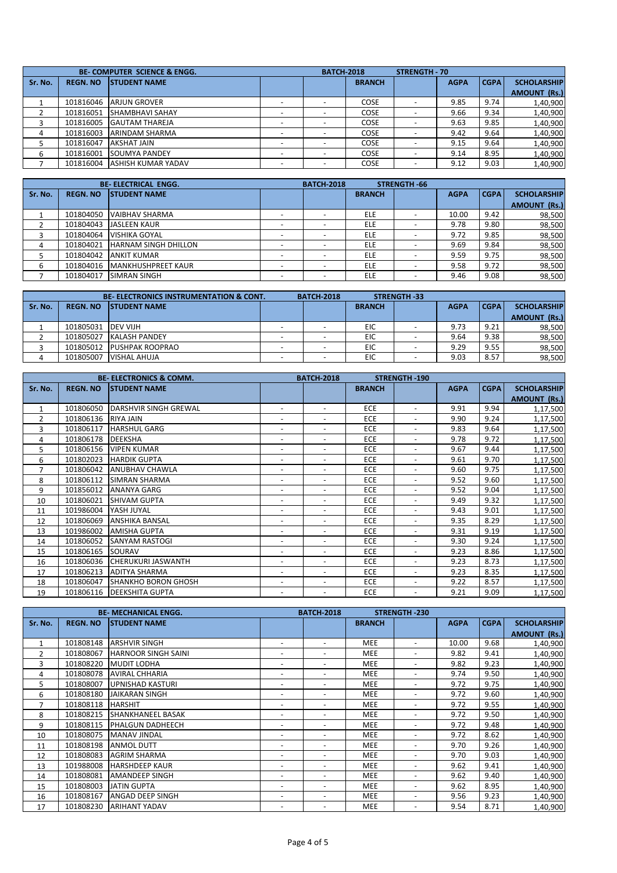|         | <b>BE-COMPUTER SCIENCE &amp; ENGG.</b> |                           |                          |          | <b>BATCH-2018</b> | STRENGTH - 70            |             |             |                                           |
|---------|----------------------------------------|---------------------------|--------------------------|----------|-------------------|--------------------------|-------------|-------------|-------------------------------------------|
| Sr. No. | <b>REGN. NO</b>                        | <b>ISTUDENT NAME</b>      |                          |          | <b>BRANCH</b>     |                          | <b>AGPA</b> | <b>CGPA</b> | <b>SCHOLARSHIP</b><br><b>AMOUNT (Rs.)</b> |
|         | 101816046                              | <b>ARJUN GROVER</b>       |                          |          | COSE              |                          | 9.85        | 9.74        | 1,40,900                                  |
|         | 101816051                              | <b>SHAMBHAVI SAHAY</b>    |                          |          | <b>COSE</b>       |                          | 9.66        | 9.34        | 1,40,900                                  |
|         | 101816005                              | <b>GAUTAM THAREJA</b>     | -                        |          | <b>COSE</b>       |                          | 9.63        | 9.85        | 1,40,900                                  |
| 4       | 101816003                              | <b>ARINDAM SHARMA</b>     |                          |          | COSE              |                          | 9.42        | 9.64        | 1,40,900                                  |
| 5       | 101816047                              | <b>AKSHAT JAIN</b>        |                          |          | <b>COSE</b>       |                          | 9.15        | 9.64        | 1,40,900                                  |
| 6       | 101816001                              | <b>SOUMYA PANDEY</b>      |                          |          | <b>COSE</b>       |                          | 9.14        | 8.95        | 1,40,900                                  |
|         | 101816004                              | <b>ASHISH KUMAR YADAV</b> | $\overline{\phantom{0}}$ | <b>.</b> | <b>COSE</b>       | $\overline{\phantom{0}}$ | 9.12        | 9.03        | 1,40,900                                  |

|         |                 | <b>BE-ELECTRICAL ENGG.</b>  | <b>BATCH-2018</b> |               | STRENGTH 66              |             |             |                     |
|---------|-----------------|-----------------------------|-------------------|---------------|--------------------------|-------------|-------------|---------------------|
| Sr. No. | <b>REGN. NO</b> | <b>ISTUDENT NAME</b>        |                   | <b>BRANCH</b> |                          | <b>AGPA</b> | <b>CGPA</b> | <b>SCHOLARSHIP</b>  |
|         |                 |                             |                   |               |                          |             |             | <b>AMOUNT (Rs.)</b> |
|         | 101804050       | VAIBHAV SHARMA              |                   | <b>ELE</b>    | $\overline{\phantom{a}}$ | 10.00       | 9.42        | 98,500              |
|         | 101804043       | <b>JASLEEN KAUR</b>         | -                 | <b>ELE</b>    | $\overline{\phantom{a}}$ | 9.78        | 9.80        | 98,500              |
|         | 101804064       | <b>VISHIKA GOYAL</b>        |                   | <b>ELE</b>    |                          | 9.72        | 9.85        | 98,500              |
| 4       | 101804021       | <b>HARNAM SINGH DHILLON</b> |                   | <b>ELE</b>    |                          | 9.69        | 9.84        | 98,500              |
| 5       | 101804042       | <b>ANKIT KUMAR</b>          |                   | <b>ELE</b>    | $\overline{\phantom{a}}$ | 9.59        | 9.75        | 98,500              |
| 6       | 101804016       | <b>MANKHUSHPREET KAUR</b>   |                   | <b>ELE</b>    | $\overline{\phantom{a}}$ | 9.58        | 9.72        | 98,500              |
|         | 101804017       | <b>SIMRAN SINGH</b>         | -                 | <b>ELE</b>    | $\overline{\phantom{a}}$ | 9.46        | 9.08        | 98,500              |

|         |                 | <b>BE-ELECTRONICS INSTRUMENTATION &amp; CONT.</b> | <b>BATCH 2018</b> |               | <b>STRENGTH 33</b> |             |             |                     |
|---------|-----------------|---------------------------------------------------|-------------------|---------------|--------------------|-------------|-------------|---------------------|
| Sr. No. | <b>REGN. NO</b> | <b>ISTUDENT NAME</b>                              |                   | <b>BRANCH</b> |                    | <b>AGPA</b> | <b>CGPA</b> | <b>SCHOLARSHIP</b>  |
|         |                 |                                                   |                   |               |                    |             |             | <b>AMOUNT (Rs.)</b> |
|         | 101805031       | <b>DEV VIJH</b>                                   |                   | EIC           |                    | 9.73        | 9.21        | 98,500              |
|         | 101805027       | <b>KALASH PANDEY</b>                              |                   | EIC           |                    | 9.64        | 9.38        | 98,500              |
|         | 101805012       | <b>PUSHPAK ROOPRAO</b>                            |                   | EIC           |                    | 9.29        | 9.55        | 98,500              |
|         | 101805007       | <b>VISHAL AHUJA</b>                               |                   | EIC           |                    | 9.03        | 8.57        | 98,500              |

|                |                 | <b>BE-ELECTRONICS &amp; COMM.</b> |                          | <b>BATCH-2018</b>        |               | <b>STRENGTH-190</b>      |             |             |                     |
|----------------|-----------------|-----------------------------------|--------------------------|--------------------------|---------------|--------------------------|-------------|-------------|---------------------|
| Sr. No.        | <b>REGN. NO</b> | <b>STUDENT NAME</b>               |                          |                          | <b>BRANCH</b> |                          | <b>AGPA</b> | <b>CGPA</b> | <b>SCHOLARSHIP</b>  |
|                |                 |                                   |                          |                          |               |                          |             |             | <b>AMOUNT (Rs.)</b> |
| $\mathbf{1}$   | 101806050       | DARSHVIR SINGH GREWAL             | $\overline{\phantom{a}}$ | $\overline{\phantom{a}}$ | <b>ECE</b>    | $\overline{\phantom{a}}$ | 9.91        | 9.94        | 1,17,500            |
| $\overline{2}$ | 101806136       | RIYA JAIN                         | $\overline{\phantom{a}}$ | $\overline{\phantom{a}}$ | <b>ECE</b>    | $\overline{\phantom{a}}$ | 9.90        | 9.24        | 1,17,500            |
| 3              | 101806117       | <b>HARSHUL GARG</b>               | $\overline{\phantom{a}}$ | $\overline{\phantom{a}}$ | <b>ECE</b>    | $\overline{\phantom{a}}$ | 9.83        | 9.64        | 1,17,500            |
| 4              | 101806178       | <b>DEEKSHA</b>                    | $\overline{\phantom{a}}$ | $\overline{\phantom{a}}$ | <b>ECE</b>    | $\overline{\phantom{a}}$ | 9.78        | 9.72        | 1,17,500            |
| 5              | 101806156       | <b>VIPEN KUMAR</b>                | $\overline{\phantom{a}}$ | $\overline{\phantom{a}}$ | ECE           | $\overline{\phantom{a}}$ | 9.67        | 9.44        | 1,17,500            |
| 6              | 101802023       | <b>HARDIK GUPTA</b>               | $\overline{\phantom{a}}$ | $\overline{\phantom{a}}$ | <b>ECE</b>    | $\overline{\phantom{a}}$ | 9.61        | 9.70        | 1,17,500            |
| 7              | 101806042       | <b>ANUBHAV CHAWLA</b>             | $\overline{\phantom{a}}$ | $\overline{\phantom{a}}$ | ECE           | $\overline{\phantom{a}}$ | 9.60        | 9.75        | 1,17,500            |
| 8              | 101806112       | <b>SIMRAN SHARMA</b>              | $\overline{\phantom{a}}$ | $\overline{\phantom{a}}$ | <b>ECE</b>    | $\overline{\phantom{a}}$ | 9.52        | 9.60        | 1,17,500            |
| 9              | 101856012       | <b>ANANYA GARG</b>                | $\overline{\phantom{0}}$ | $\overline{\phantom{a}}$ | <b>ECE</b>    | $\overline{\phantom{a}}$ | 9.52        | 9.04        | 1,17,500            |
| 10             | 101806021       | <b>SHIVAM GUPTA</b>               | $\overline{\phantom{a}}$ |                          | <b>ECE</b>    | $\overline{\phantom{a}}$ | 9.49        | 9.32        | 1,17,500            |
| 11             | 101986004       | YASH JUYAL                        | $\overline{\phantom{0}}$ | $\overline{\phantom{a}}$ | <b>ECE</b>    | $\overline{\phantom{a}}$ | 9.43        | 9.01        | 1,17,500            |
| 12             | 101806069       | <b>ANSHIKA BANSAL</b>             | $\overline{\phantom{a}}$ | $\overline{\phantom{a}}$ | <b>ECE</b>    | $\overline{\phantom{a}}$ | 9.35        | 8.29        | 1,17,500            |
| 13             | 101986002       | <b>AMISHA GUPTA</b>               | $\overline{\phantom{a}}$ | $\overline{\phantom{a}}$ | <b>ECE</b>    | $\overline{\phantom{a}}$ | 9.31        | 9.19        | 1,17,500            |
| 14             | 101806052       | <b>SANYAM RASTOGI</b>             | $\overline{\phantom{a}}$ | $\overline{\phantom{a}}$ | <b>ECE</b>    | $\overline{\phantom{a}}$ | 9.30        | 9.24        | 1,17,500            |
| 15             | 101806165       | SOURAV                            | $\overline{\phantom{a}}$ | $\overline{\phantom{a}}$ | <b>ECE</b>    | $\overline{\phantom{a}}$ | 9.23        | 8.86        | 1,17,500            |
| 16             | 101806036       | <b>CHERUKURI JASWANTH</b>         | $\overline{\phantom{a}}$ | $\overline{\phantom{a}}$ | <b>ECE</b>    | $\overline{\phantom{a}}$ | 9.23        | 8.73        | 1,17,500            |
| 17             | 101806213       | <b>ADITYA SHARMA</b>              | $\overline{\phantom{a}}$ | $\overline{\phantom{a}}$ | <b>ECE</b>    | $\overline{\phantom{a}}$ | 9.23        | 8.35        | 1,17,500            |
| 18             | 101806047       | <b>SHANKHO BORON GHOSH</b>        | $\overline{\phantom{a}}$ | $\overline{\phantom{a}}$ | <b>ECE</b>    | $\overline{\phantom{a}}$ | 9.22        | 8.57        | 1,17,500            |
| 19             | 101806116       | <b>IDEEKSHITA GUPTA</b>           | $\overline{\phantom{0}}$ | $\overline{\phantom{a}}$ | <b>ECE</b>    | $\overline{\phantom{a}}$ | 9.21        | 9.09        | 1,17,500            |

|                |                 | <b>BE-MECHANICAL ENGG.</b> |                          | <b>BATCH-2018</b>        |               | <b>STRENGTH-230</b>      |             |             |                     |
|----------------|-----------------|----------------------------|--------------------------|--------------------------|---------------|--------------------------|-------------|-------------|---------------------|
| Sr. No.        | <b>REGN. NO</b> | <b>STUDENT NAME</b>        |                          |                          | <b>BRANCH</b> |                          | <b>AGPA</b> | <b>CGPA</b> | <b>SCHOLARSHIP</b>  |
|                |                 |                            |                          |                          |               |                          |             |             | <b>AMOUNT (Rs.)</b> |
| $\mathbf{1}$   | 101808148       | <b>ARSHVIR SINGH</b>       | $\overline{\phantom{a}}$ | $\overline{\phantom{a}}$ | <b>MEE</b>    | $\overline{\phantom{a}}$ | 10.00       | 9.68        | 1,40,900            |
| $\overline{2}$ | 101808067       | <b>HARNOOR SINGH SAINI</b> | $\overline{\phantom{a}}$ | $\overline{\phantom{a}}$ | <b>MEE</b>    | $\overline{\phantom{a}}$ | 9.82        | 9.41        | 1,40,900            |
| 3              | 101808220       | <b>MUDIT LODHA</b>         | $\overline{\phantom{a}}$ | $\overline{\phantom{a}}$ | <b>MEE</b>    | $\overline{\phantom{a}}$ | 9.82        | 9.23        | 1,40,900            |
| 4              | 101808078       | <b>AVIRAL CHHARIA</b>      | $\overline{\phantom{a}}$ | $\overline{\phantom{a}}$ | <b>MEE</b>    | $\overline{\phantom{a}}$ | 9.74        | 9.50        | 1,40,900            |
| 5              | 101808007       | <b>JUPNISHAD KASTURI</b>   | $\overline{\phantom{a}}$ | $\overline{\phantom{a}}$ | <b>MEE</b>    | $\overline{\phantom{a}}$ | 9.72        | 9.75        | 1,40,900            |
| 6              | 101808180       | JAIKARAN SINGH             | -                        | $\overline{\phantom{a}}$ | <b>MEE</b>    | $\overline{\phantom{a}}$ | 9.72        | 9.60        | 1,40,900            |
| $\overline{7}$ | 101808118       | <b>HARSHIT</b>             | $\overline{\phantom{a}}$ | $\overline{\phantom{a}}$ | <b>MEE</b>    | $\overline{\phantom{a}}$ | 9.72        | 9.55        | 1,40,900            |
| 8              | 101808215       | <b>SHANKHANEEL BASAK</b>   | $\overline{\phantom{a}}$ | $\overline{\phantom{a}}$ | <b>MEE</b>    | $\overline{\phantom{a}}$ | 9.72        | 9.50        | 1,40,900            |
| 9              | 101808115       | <b>IPHALGUN DADHEECH</b>   | $\overline{\phantom{a}}$ | $\overline{\phantom{a}}$ | <b>MEE</b>    | $\overline{\phantom{a}}$ | 9.72        | 9.48        | 1,40,900            |
| 10             | 101808075       | <b>MANAV JINDAL</b>        | $\overline{\phantom{a}}$ | $\overline{\phantom{a}}$ | <b>MEE</b>    | $\overline{\phantom{a}}$ | 9.72        | 8.62        | 1,40,900            |
| 11             | 101808198       | <b>ANMOL DUTT</b>          | $\overline{\phantom{a}}$ | $\overline{\phantom{a}}$ | <b>MEE</b>    | $\overline{\phantom{a}}$ | 9.70        | 9.26        | 1,40,900            |
| 12             | 101808083       | <b>AGRIM SHARMA</b>        | $\overline{\phantom{a}}$ | $\overline{\phantom{a}}$ | <b>MEE</b>    | $\overline{\phantom{a}}$ | 9.70        | 9.03        | 1,40,900            |
| 13             | 101988008       | <b>HARSHDEEP KAUR</b>      | -                        | $\overline{\phantom{a}}$ | <b>MEE</b>    | $\overline{\phantom{a}}$ | 9.62        | 9.41        | 1,40,900            |
| 14             | 101808081       | <b>AMANDEEP SINGH</b>      | -                        |                          | <b>MEE</b>    | $\overline{\phantom{a}}$ | 9.62        | 9.40        | 1,40,900            |
| 15             | 101808003       | <b>JATIN GUPTA</b>         | $\overline{\phantom{a}}$ | $\overline{\phantom{a}}$ | <b>MEE</b>    | $\overline{\phantom{a}}$ | 9.62        | 8.95        | 1,40,900            |
| 16             | 101808167       | <b>ANGAD DEEP SINGH</b>    | $\overline{\phantom{a}}$ | $\overline{\phantom{a}}$ | <b>MEE</b>    | $\overline{\phantom{a}}$ | 9.56        | 9.23        | 1,40,900            |
| 17             | 101808230       | <b>ARIHANT YADAV</b>       | $\overline{\phantom{a}}$ | $\overline{\phantom{a}}$ | <b>MEE</b>    | $\overline{\phantom{a}}$ | 9.54        | 8.71        | 1,40,900            |